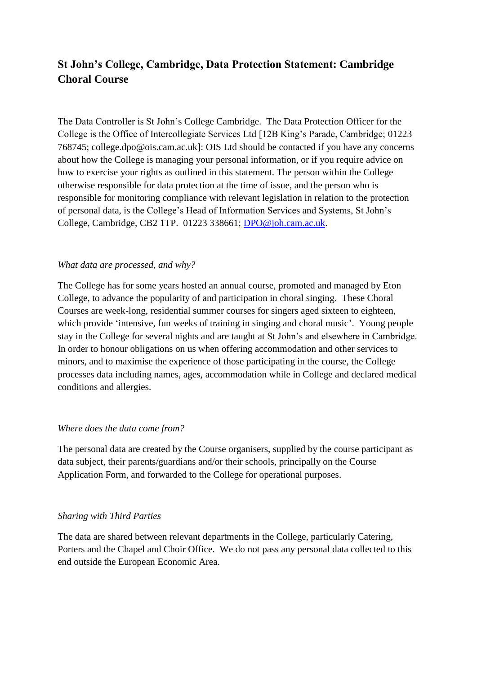# **St John's College, Cambridge, Data Protection Statement: Cambridge Choral Course**

The Data Controller is St John's College Cambridge. The Data Protection Officer for the College is the Office of Intercollegiate Services Ltd [12B King's Parade, Cambridge; 01223 768745; college.dpo@ois.cam.ac.uk]: OIS Ltd should be contacted if you have any concerns about how the College is managing your personal information, or if you require advice on how to exercise your rights as outlined in this statement. The person within the College otherwise responsible for data protection at the time of issue, and the person who is responsible for monitoring compliance with relevant legislation in relation to the protection of personal data, is the College's Head of Information Services and Systems, St John's College, Cambridge, CB2 1TP. 01223 338661; [DPO@joh.cam.ac.uk.](mailto:DPO@joh.cam.ac.uk)

## *What data are processed, and why?*

The College has for some years hosted an annual course, promoted and managed by Eton College, to advance the popularity of and participation in choral singing. These Choral Courses are week-long, residential summer courses for singers aged sixteen to eighteen, which provide 'intensive, fun weeks of training in singing and choral music'. Young people stay in the College for several nights and are taught at St John's and elsewhere in Cambridge. In order to honour obligations on us when offering accommodation and other services to minors, and to maximise the experience of those participating in the course, the College processes data including names, ages, accommodation while in College and declared medical conditions and allergies.

#### *Where does the data come from?*

The personal data are created by the Course organisers, supplied by the course participant as data subject, their parents/guardians and/or their schools, principally on the Course Application Form, and forwarded to the College for operational purposes.

#### *Sharing with Third Parties*

The data are shared between relevant departments in the College, particularly Catering, Porters and the Chapel and Choir Office. We do not pass any personal data collected to this end outside the European Economic Area.